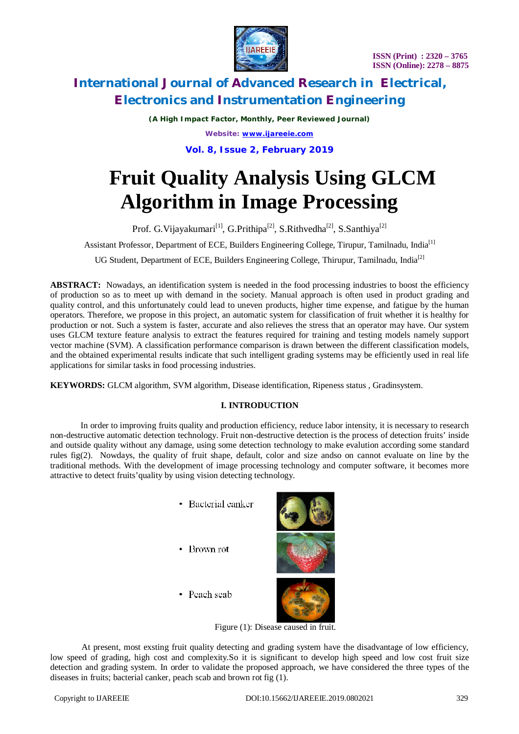

*(A High Impact Factor, Monthly, Peer Reviewed Journal)*

*Website: [www.ijareeie.com](http://www.ijareeie.com)*

# **Vol. 8, Issue 2, February 2019**

# **Fruit Quality Analysis Using GLCM Algorithm in Image Processing**

Prof. G. Vijayakumari<sup>[1]</sup>, G. Prithipa<sup>[2]</sup>, S. Rithvedha<sup>[2]</sup>, S. Santhiya<sup>[2]</sup>

Assistant Professor, Department of ECE, Builders Engineering College, Tirupur, Tamilnadu, India<sup>[1]</sup>

UG Student, Department of ECE, Builders Engineering College, Thirupur, Tamilnadu, India<sup>[2]</sup>

ABSTRACT: Nowadays, an identification system is needed in the food processing industries to boost the efficiency of production so as to meet up with demand in the society. Manual approach is often used in product grading and quality control, and this unfortunately could lead to uneven products, higher time expense, and fatigue by the human operators. Therefore, we propose in this project, an automatic system for classification of fruit whether it is healthy for production or not. Such a system is faster, accurate and also relieves the stress that an operator may have. Our system uses GLCM texture feature analysis to extract the features required for training and testing models namely support vector machine (SVM). A classification performance comparison is drawn between the different classification models, and the obtained experimental results indicate that such intelligent grading systems may be efficiently used in real life applications for similar tasks in food processing industries.

**KEYWORDS:** GLCM algorithm, SVM algorithm, Disease identification, Ripeness status , Gradinsystem.

## **I. INTRODUCTION**

 In order to improving fruits quality and production efficiency, reduce labor intensity, it is necessary to research non-destructive automatic detection technology. Fruit non-destructive detection is the process of detection fruits' inside and outside quality without any damage, using some detection technology to make evalution according some standard rules fig(2). Nowdays, the quality of fruit shape, default, color and size andso on cannot evaluate on line by the traditional methods. With the development of image processing technology and computer software, it becomes more attractive to detect fruits'quality by using vision detecting technology.

- Bacterial canker
- Brown rot



• Peach scab



Figure (1): Disease caused in fruit.

At present, most exsting fruit quality detecting and grading system have the disadvantage of low efficiency, low speed of grading, high cost and complexity.So it is significant to develop high speed and low cost fruit size detection and grading system. In order to validate the proposed approach, we have considered the three types of the diseases in fruits; bacterial canker, peach scab and brown rot fig (1).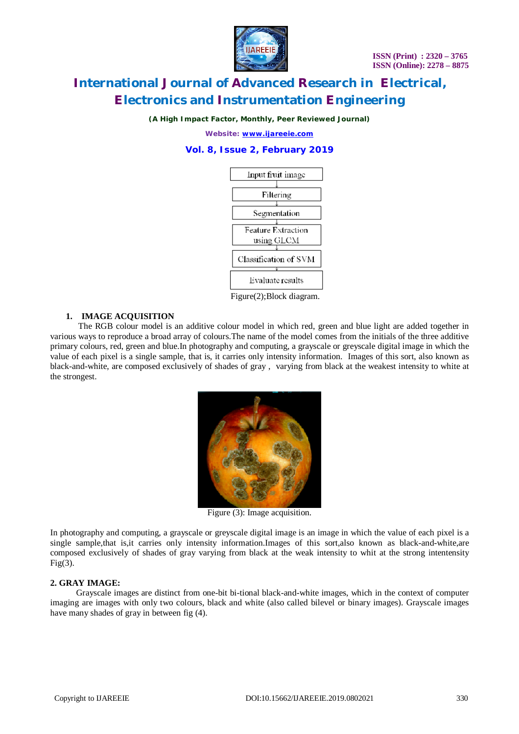

*(A High Impact Factor, Monthly, Peer Reviewed Journal)*

*Website: [www.ijareeie.com](http://www.ijareeie.com)*

**Vol. 8, Issue 2, February 2019**



Figure(2);Block diagram.

### **1. IMAGE ACQUISITION**

 The RGB colour model is an additive colour model in which red, green and blue light are added together in various ways to reproduce a broad array of colours.The name of the model comes from the initials of the three additive primary colours, red, green and blue.In photography and computing, a grayscale or greyscale digital image in which the value of each pixel is a single sample, that is, it carries only intensity information. Images of this sort, also known as black-and-white, are composed exclusively of shades of gray , varying from black at the weakest intensity to white at the strongest.



Figure (3): Image acquisition.

In photography and computing, a grayscale or greyscale digital image is an image in which the value of each pixel is a single sample,that is,it carries only intensity information.Images of this sort,also known as black-and-white,are composed exclusively of shades of gray varying from black at the weak intensity to whit at the strong intentensity  $Fig(3)$ .

### **2. GRAY IMAGE:**

 Grayscale images are distinct from one-bit bi-tional black-and-white images, which in the context of computer imaging are images with only two colours, black and white (also called bilevel or binary images). Grayscale images have many shades of gray in between fig (4).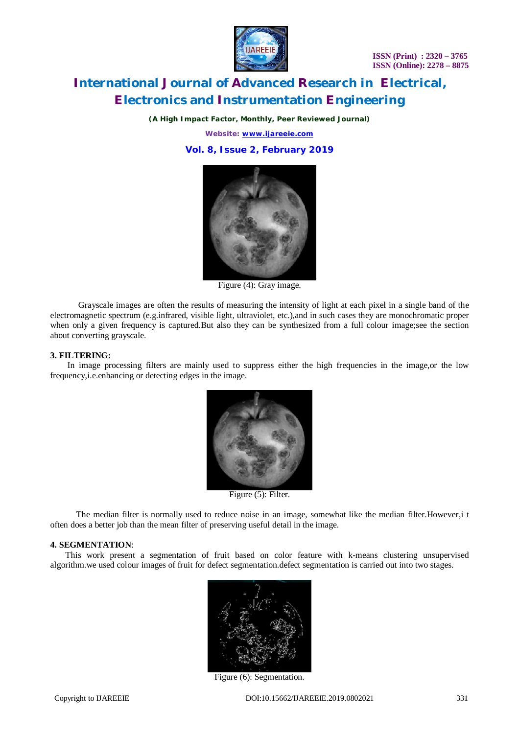

*(A High Impact Factor, Monthly, Peer Reviewed Journal)*

*Website: [www.ijareeie.com](http://www.ijareeie.com)*

**Vol. 8, Issue 2, February 2019**



Figure (4): Gray image.

 Grayscale images are often the results of measuring the intensity of light at each pixel in a single band of the electromagnetic spectrum (e.g.infrared, visible light, ultraviolet, etc.),and in such cases they are monochromatic proper when only a given frequency is captured.But also they can be synthesized from a full colour image;see the section about converting grayscale.

#### **3. FILTERING:**

 In image processing filters are mainly used to suppress either the high frequencies in the image,or the low frequency,i.e.enhancing or detecting edges in the image.



Figure (5): Filter.

 The median filter is normally used to reduce noise in an image, somewhat like the median filter.However,i t often does a better job than the mean filter of preserving useful detail in the image.

#### **4. SEGMENTATION**:

 This work present a segmentation of fruit based on color feature with k-means clustering unsupervised algorithm.we used colour images of fruit for defect segmentation.defect segmentation is carried out into two stages.



Figure (6): Segmentation.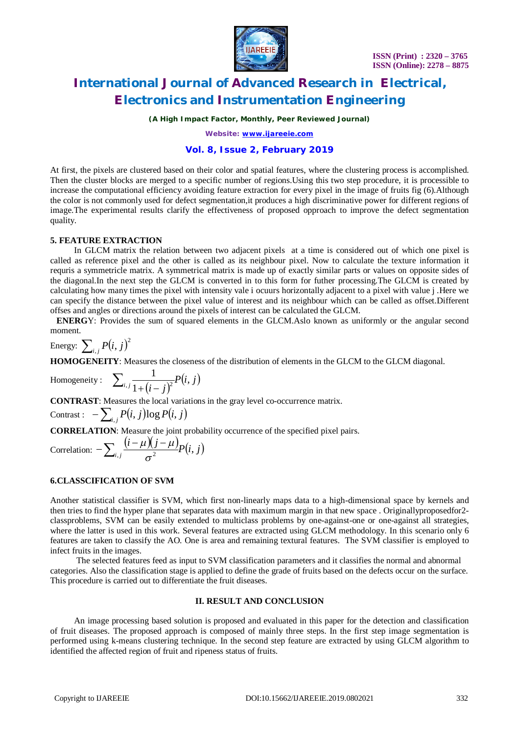

*(A High Impact Factor, Monthly, Peer Reviewed Journal)*

*Website: [www.ijareeie.com](http://www.ijareeie.com)*

## **Vol. 8, Issue 2, February 2019**

At first, the pixels are clustered based on their color and spatial features, where the clustering process is accomplished. Then the cluster blocks are merged to a specific number of regions.Using this two step procedure, it is processible to increase the computational efficiency avoiding feature extraction for every pixel in the image of fruits fig (6).Although the color is not commonly used for defect segmentation,it produces a high discriminative power for different regions of image.The experimental results clarify the effectiveness of proposed opproach to improve the defect segmentation quality.

### **5. FEATURE EXTRACTION**

 In GLCM matrix the relation between two adjacent pixels at a time is considered out of which one pixel is called as reference pixel and the other is called as its neighbour pixel. Now to calculate the texture information it requris a symmetricle matrix. A symmetrical matrix is made up of exactly similar parts or values on opposite sides of the diagonal.In the next step the GLCM is converted in to this form for futher processing.The GLCM is created by calculating how many times the pixel with intensity vale i ocuurs horizontally adjacent to a pixel with value j .Here we can specify the distance between the pixel value of interest and its neighbour which can be called as offset.Different offses and angles or directions around the pixels of interest can be calculated the GLCM.

 **ENERG**Y: Provides the sum of squared elements in the GLCM.Aslo known as uniformly or the angular second moment.

Energy:  $\sum_{i,j} P(i,j)^2$ 

**HOMOGENEITY**: Measures the closeness of the distribution of elements in the GLCM to the GLCM diagonal.

Homogeneity: 
$$
\sum_{i,j} \frac{1}{1 + (i - j)^2} P(i, j)
$$

**CONTRAST**: Measures the local variations in the gray level co-occurrence matrix.

$$
\text{Contrast}: \ -\sum_{i,j} P(i,j) \log P(i,j)
$$

**CORRELATION**: Measure the joint probability occurrence of the specified pixel pairs.

Correlation:  $-\sum_{i} \frac{(i-\mu)(j-\mu)}{2} P(i, j)$  $-\sum_{i,j} \frac{(i-\mu)(j-\mu)}{\sigma^2} P(i,$  $\mu$  J J  $-\mu$ 

### **6.CLASSCIFICATION OF SVM**

Another statistical classifier is SVM, which first non-linearly maps data to a high-dimensional space by kernels and then tries to find the hyper plane that separates data with maximum margin in that new space . Originallyproposedfor2 classproblems, SVM can be easily extended to multiclass problems by one-against-one or one-against all strategies, where the latter is used in this work. Several features are extracted using GLCM methodology. In this scenario only 6 features are taken to classify the AO. One is area and remaining textural features. The SVM classifier is employed to infect fruits in the images.

 The selected features feed as input to SVM classification parameters and it classifies the normal and abnormal categories. Also the classification stage is applied to define the grade of fruits based on the defects occur on the surface. This procedure is carried out to differentiate the fruit diseases.

### **II. RESULT AND CONCLUSION**

 An image processing based solution is proposed and evaluated in this paper for the detection and classification of fruit diseases. The proposed approach is composed of mainly three steps. In the first step image segmentation is performed using k-means clustering technique. In the second step feature are extracted by using GLCM algorithm to identified the affected region of fruit and ripeness status of fruits.